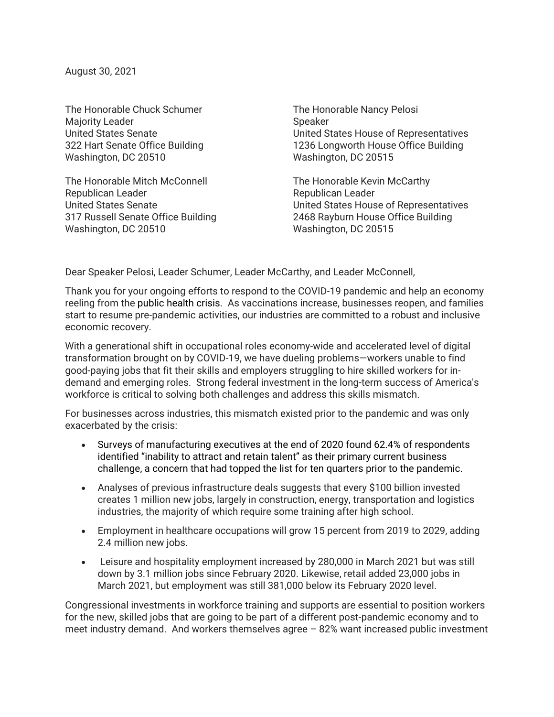August 30, 2021

The Honorable Chuck Schumer Majority Leader United States Senate 322 Hart Senate Office Building Washington, DC 20510

The Honorable Mitch McConnell Republican Leader United States Senate 317 Russell Senate Office Building Washington, DC 20510

The Honorable Nancy Pelosi Speaker United States House of Representatives 1236 Longworth House Office Building Washington, DC 20515

The Honorable Kevin McCarthy Republican Leader United States House of Representatives 2468 Rayburn House Office Building Washington, DC 20515

Dear Speaker Pelosi, Leader Schumer, Leader McCarthy, and Leader McConnell,

Thank you for your ongoing efforts to respond to the COVID-19 pandemic and help an economy reeling from the public health crisis. As vaccinations increase, businesses reopen, and families start to resume pre-pandemic activities, our industries are committed to a robust and inclusive economic recovery.

With a generational shift in occupational roles economy-wide and accelerated level of digital transformation brought on by COVID-19, we have dueling problems—workers unable to find good-paying jobs that fit their skills and employers struggling to hire skilled workers for indemand and emerging roles. Strong federal investment in the long-term success of America's workforce is critical to solving both challenges and address this skills mismatch.

For businesses across industries, this mismatch existed prior to the pandemic and was only exacerbated by the crisis:

- Surveys of manufacturing executives at the end of 2020 found 62.4% of respondents identified "inability to attract and retain talent" as their primary current business challenge, a concern that had topped the list for ten quarters prior to the pandemic.
- Analyses of previous infrastructure deals suggests that every \$100 billion invested creates 1 million new jobs, largely in construction, energy, transportation and logistics industries, the majority of which require some training after high school.
- Employment in healthcare occupations will grow 15 percent from 2019 to 2029, adding 2.4 million new jobs.
- Leisure and hospitality employment increased by 280,000 in March 2021 but was still down by 3.1 million jobs since February 2020. Likewise, retail added 23,000 jobs in March 2021, but employment was still 381,000 below its February 2020 level.

Congressional investments in workforce training and supports are essential to position workers for the new, skilled jobs that are going to be part of a different post-pandemic economy and to meet industry demand. And workers themselves agree – 82% want increased public investment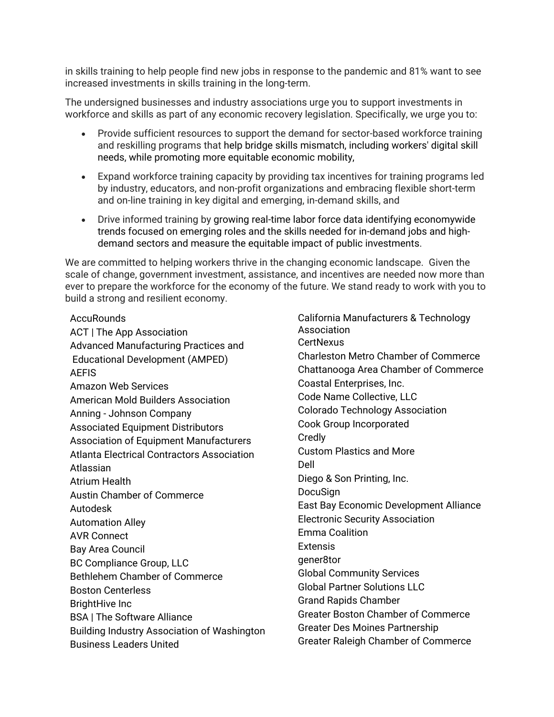in skills training to help people find new jobs in response to the pandemic and 81% want to see increased investments in skills training in the long-term.

The undersigned businesses and industry associations urge you to support investments in workforce and skills as part of any economic recovery legislation. Specifically, we urge you to:

- Provide sufficient resources to support the demand for sector-based workforce training and reskilling programs that help bridge skills mismatch, including workers' digital skill needs, while promoting more equitable economic mobility,
- Expand workforce training capacity by providing tax incentives for training programs led by industry, educators, and non-profit organizations and embracing flexible short-term and on-line training in key digital and emerging, in-demand skills, and
- Drive informed training by growing real-time labor force data identifying economywide trends focused on emerging roles and the skills needed for in-demand jobs and highdemand sectors and measure the equitable impact of public investments.

We are committed to helping workers thrive in the changing economic landscape. Given the scale of change, government investment, assistance, and incentives are needed now more than ever to prepare the workforce for the economy of the future. We stand ready to work with you to build a strong and resilient economy.

**AccuRounds** ACT | The App Association Advanced Manufacturing Practices and Educational Development (AMPED) **AFFIS** Amazon Web Services American Mold Builders Association Anning - Johnson Company Associated Equipment Distributors Association of Equipment Manufacturers Atlanta Electrical Contractors Association Atlassian Atrium Health Austin Chamber of Commerce Autodesk Automation Alley AVR Connect Bay Area Council BC Compliance Group, LLC Bethlehem Chamber of Commerce Boston Centerless BrightHive Inc BSA | The Software Alliance Building Industry Association of Washington Business Leaders United

California Manufacturers & Technology Association **CertNexus** Charleston Metro Chamber of Commerce Chattanooga Area Chamber of Commerce Coastal Enterprises, Inc. Code Name Collective, LLC Colorado Technology Association Cook Group Incorporated **Credly** Custom Plastics and More Dell Diego & Son Printing, Inc. DocuSign East Bay Economic Development Alliance Electronic Security Association Emma Coalition Extensis gener8tor Global Community Services Global Partner Solutions LLC Grand Rapids Chamber Greater Boston Chamber of Commerce Greater Des Moines Partnership Greater Raleigh Chamber of Commerce